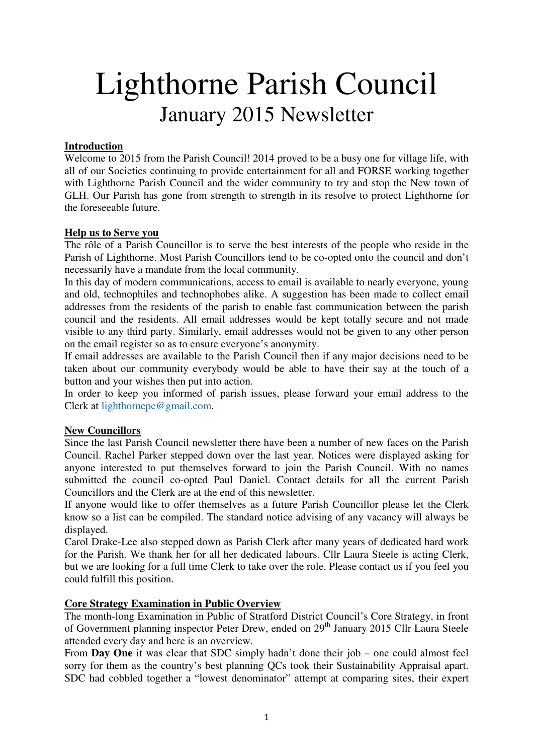# Lighthorne Parish Council January 2015 Newsletter

# **Introduction**

Welcome to 2015 from the Parish Council! 2014 proved to be a busy one for village life, with all of our Societies continuing to provide entertainment for all and FORSE working together with Lighthorne Parish Council and the wider community to try and stop the New town of GLH. Our Parish has gone from strength to strength in its resolve to protect Lighthorne for the foreseeable future.

# **Help us to Serve you**

The rôle of a Parish Councillor is to serve the best interests of the people who reside in the Parish of Lighthorne. Most Parish Councillors tend to be co-opted onto the council and don't necessarily have a mandate from the local community.

In this day of modern communications, access to email is available to nearly everyone, young and old, technophiles and technophobes alike. A suggestion has been made to collect email addresses from the residents of the parish to enable fast communication between the parish council and the residents. All email addresses would be kept totally secure and not made visible to any third party. Similarly, email addresses would not be given to any other person on the email register so as to ensure everyone's anonymity.

If email addresses are available to the Parish Council then if any major decisions need to be taken about our community everybody would be able to have their say at the touch of a button and your wishes then put into action.

In order to keep you informed of parish issues, please forward your email address to the Clerk at lighthornepc@gmail.com.

# **New Councillors**

Since the last Parish Council newsletter there have been a number of new faces on the Parish Council. Rachel Parker stepped down over the last year. Notices were displayed asking for anyone interested to put themselves forward to join the Parish Council. With no names submitted the council co-opted Paul Daniel. Contact details for all the current Parish Councillors and the Clerk are at the end of this newsletter.

If anyone would like to offer themselves as a future Parish Councillor please let the Clerk know so a list can be compiled. The standard notice advising of any vacancy will always be displayed.

Carol Drake-Lee also stepped down as Parish Clerk after many years of dedicated hard work for the Parish. We thank her for all her dedicated labours. Cllr Laura Steele is acting Clerk, but we are looking for a full time Clerk to take over the role. Please contact us if you feel you could fulfill this position.

#### **Core Strategy Examination in Public Overview**

The month-long Examination in Public of Stratford District Council's Core Strategy, in front of Government planning inspector Peter Drew, ended on 29<sup>th</sup> January 2015 Cllr Laura Steele attended every day and here is an overview.

From **Day One** it was clear that SDC simply hadn't done their job – one could almost feel sorry for them as the country's best planning QCs took their Sustainability Appraisal apart. SDC had cobbled together a "lowest denominator" attempt at comparing sites, their expert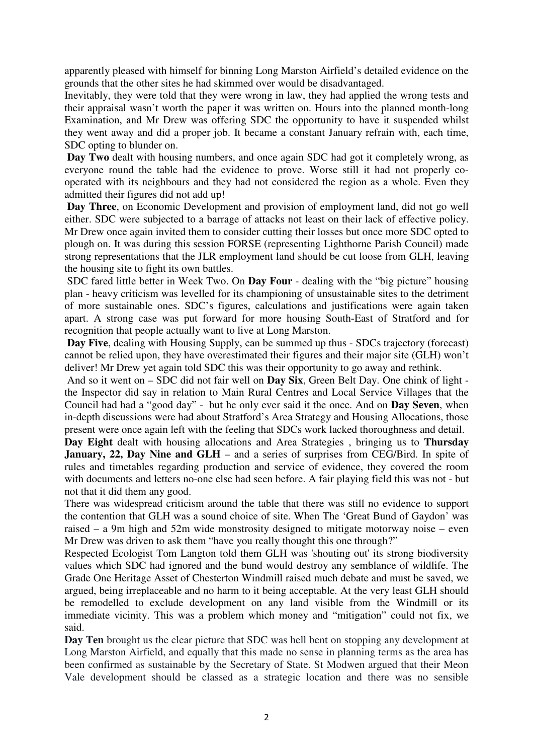apparently pleased with himself for binning Long Marston Airfield's detailed evidence on the grounds that the other sites he had skimmed over would be disadvantaged.

Inevitably, they were told that they were wrong in law, they had applied the wrong tests and their appraisal wasn't worth the paper it was written on. Hours into the planned month-long Examination, and Mr Drew was offering SDC the opportunity to have it suspended whilst they went away and did a proper job. It became a constant January refrain with, each time, SDC opting to blunder on.

**Day Two** dealt with housing numbers, and once again SDC had got it completely wrong, as everyone round the table had the evidence to prove. Worse still it had not properly cooperated with its neighbours and they had not considered the region as a whole. Even they admitted their figures did not add up!

**Day Three**, on Economic Development and provision of employment land, did not go well either. SDC were subjected to a barrage of attacks not least on their lack of effective policy. Mr Drew once again invited them to consider cutting their losses but once more SDC opted to plough on. It was during this session FORSE (representing Lighthorne Parish Council) made strong representations that the JLR employment land should be cut loose from GLH, leaving the housing site to fight its own battles.

 SDC fared little better in Week Two. On **Day Four** - dealing with the "big picture" housing plan - heavy criticism was levelled for its championing of unsustainable sites to the detriment of more sustainable ones. SDC's figures, calculations and justifications were again taken apart. A strong case was put forward for more housing South-East of Stratford and for recognition that people actually want to live at Long Marston.

**Day Five**, dealing with Housing Supply, can be summed up thus - SDCs trajectory (forecast) cannot be relied upon, they have overestimated their figures and their major site (GLH) won't deliver! Mr Drew yet again told SDC this was their opportunity to go away and rethink.

 And so it went on – SDC did not fair well on **Day Six**, Green Belt Day. One chink of light the Inspector did say in relation to Main Rural Centres and Local Service Villages that the Council had had a "good day" - but he only ever said it the once. And on **Day Seven**, when in-depth discussions were had about Stratford's Area Strategy and Housing Allocations, those present were once again left with the feeling that SDCs work lacked thoroughness and detail.

**Day Eight** dealt with housing allocations and Area Strategies , bringing us to **Thursday January, 22, Day Nine and GLH** – and a series of surprises from CEG/Bird. In spite of rules and timetables regarding production and service of evidence, they covered the room with documents and letters no-one else had seen before. A fair playing field this was not - but not that it did them any good.

There was widespread criticism around the table that there was still no evidence to support the contention that GLH was a sound choice of site. When The 'Great Bund of Gaydon' was raised – a 9m high and 52m wide monstrosity designed to mitigate motorway noise – even Mr Drew was driven to ask them "have you really thought this one through?"

Respected Ecologist Tom Langton told them GLH was 'shouting out' its strong biodiversity values which SDC had ignored and the bund would destroy any semblance of wildlife. The Grade One Heritage Asset of Chesterton Windmill raised much debate and must be saved, we argued, being irreplaceable and no harm to it being acceptable. At the very least GLH should be remodelled to exclude development on any land visible from the Windmill or its immediate vicinity. This was a problem which money and "mitigation" could not fix, we said.

**Day Ten** brought us the clear picture that SDC was hell bent on stopping any development at Long Marston Airfield, and equally that this made no sense in planning terms as the area has been confirmed as sustainable by the Secretary of State. St Modwen argued that their Meon Vale development should be classed as a strategic location and there was no sensible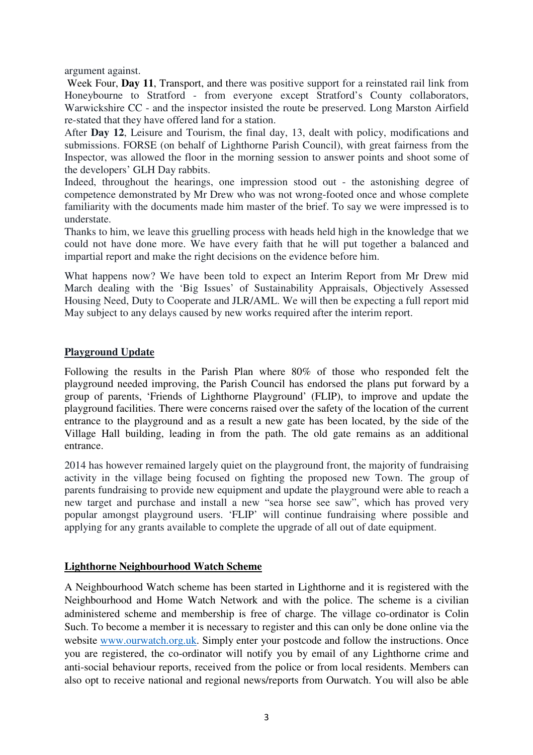argument against.

Week Four, **Day 11**, Transport, and there was positive support for a reinstated rail link from Honeybourne to Stratford - from everyone except Stratford's County collaborators, Warwickshire CC - and the inspector insisted the route be preserved. Long Marston Airfield re-stated that they have offered land for a station.

After **Day 12**, Leisure and Tourism, the final day, 13, dealt with policy, modifications and submissions. FORSE (on behalf of Lighthorne Parish Council), with great fairness from the Inspector, was allowed the floor in the morning session to answer points and shoot some of the developers' GLH Day rabbits.

Indeed, throughout the hearings, one impression stood out - the astonishing degree of competence demonstrated by Mr Drew who was not wrong-footed once and whose complete familiarity with the documents made him master of the brief. To say we were impressed is to understate.

Thanks to him, we leave this gruelling process with heads held high in the knowledge that we could not have done more. We have every faith that he will put together a balanced and impartial report and make the right decisions on the evidence before him.

What happens now? We have been told to expect an Interim Report from Mr Drew mid March dealing with the 'Big Issues' of Sustainability Appraisals, Objectively Assessed Housing Need, Duty to Cooperate and JLR/AML. We will then be expecting a full report mid May subject to any delays caused by new works required after the interim report.

## **Playground Update**

Following the results in the Parish Plan where 80% of those who responded felt the playground needed improving, the Parish Council has endorsed the plans put forward by a group of parents, 'Friends of Lighthorne Playground' (FLIP), to improve and update the playground facilities. There were concerns raised over the safety of the location of the current entrance to the playground and as a result a new gate has been located, by the side of the Village Hall building, leading in from the path. The old gate remains as an additional entrance.

2014 has however remained largely quiet on the playground front, the majority of fundraising activity in the village being focused on fighting the proposed new Town. The group of parents fundraising to provide new equipment and update the playground were able to reach a new target and purchase and install a new "sea horse see saw", which has proved very popular amongst playground users. 'FLIP' will continue fundraising where possible and applying for any grants available to complete the upgrade of all out of date equipment.

#### **Lighthorne Neighbourhood Watch Scheme**

A Neighbourhood Watch scheme has been started in Lighthorne and it is registered with the Neighbourhood and Home Watch Network and with the police. The scheme is a civilian administered scheme and membership is free of charge. The village co-ordinator is Colin Such. To become a member it is necessary to register and this can only be done online via the website www.ourwatch.org.uk. Simply enter your postcode and follow the instructions. Once you are registered, the co-ordinator will notify you by email of any Lighthorne crime and anti-social behaviour reports, received from the police or from local residents. Members can also opt to receive national and regional news/reports from Ourwatch. You will also be able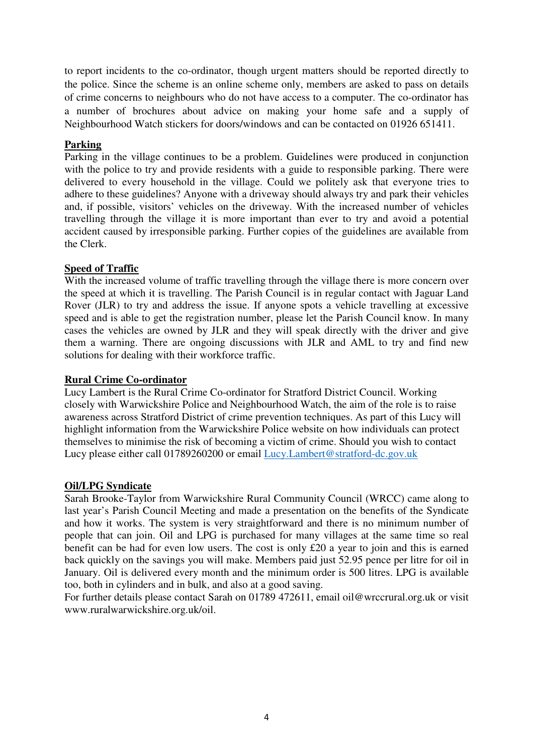to report incidents to the co-ordinator, though urgent matters should be reported directly to the police. Since the scheme is an online scheme only, members are asked to pass on details of crime concerns to neighbours who do not have access to a computer. The co-ordinator has a number of brochures about advice on making your home safe and a supply of Neighbourhood Watch stickers for doors/windows and can be contacted on 01926 651411.

## **Parking**

Parking in the village continues to be a problem. Guidelines were produced in conjunction with the police to try and provide residents with a guide to responsible parking. There were delivered to every household in the village. Could we politely ask that everyone tries to adhere to these guidelines? Anyone with a driveway should always try and park their vehicles and, if possible, visitors' vehicles on the driveway. With the increased number of vehicles travelling through the village it is more important than ever to try and avoid a potential accident caused by irresponsible parking. Further copies of the guidelines are available from the Clerk.

## **Speed of Traffic**

With the increased volume of traffic travelling through the village there is more concern over the speed at which it is travelling. The Parish Council is in regular contact with Jaguar Land Rover (JLR) to try and address the issue. If anyone spots a vehicle travelling at excessive speed and is able to get the registration number, please let the Parish Council know. In many cases the vehicles are owned by JLR and they will speak directly with the driver and give them a warning. There are ongoing discussions with JLR and AML to try and find new solutions for dealing with their workforce traffic.

#### **Rural Crime Co-ordinator**

Lucy Lambert is the Rural Crime Co-ordinator for Stratford District Council. Working closely with Warwickshire Police and Neighbourhood Watch, the aim of the role is to raise awareness across Stratford District of crime prevention techniques. As part of this Lucy will highlight information from the Warwickshire Police website on how individuals can protect themselves to minimise the risk of becoming a victim of crime. Should you wish to contact Lucy please either call 01789260200 or email Lucy.Lambert@stratford-dc.gov.uk

#### **Oil/LPG Syndicate**

Sarah Brooke-Taylor from Warwickshire Rural Community Council (WRCC) came along to last year's Parish Council Meeting and made a presentation on the benefits of the Syndicate and how it works. The system is very straightforward and there is no minimum number of people that can join. Oil and LPG is purchased for many villages at the same time so real benefit can be had for even low users. The cost is only £20 a year to join and this is earned back quickly on the savings you will make. Members paid just 52.95 pence per litre for oil in January. Oil is delivered every month and the minimum order is 500 litres. LPG is available too, both in cylinders and in bulk, and also at a good saving.

For further details please contact Sarah on 01789 472611, email oil@wrccrural.org.uk or visit www.ruralwarwickshire.org.uk/oil.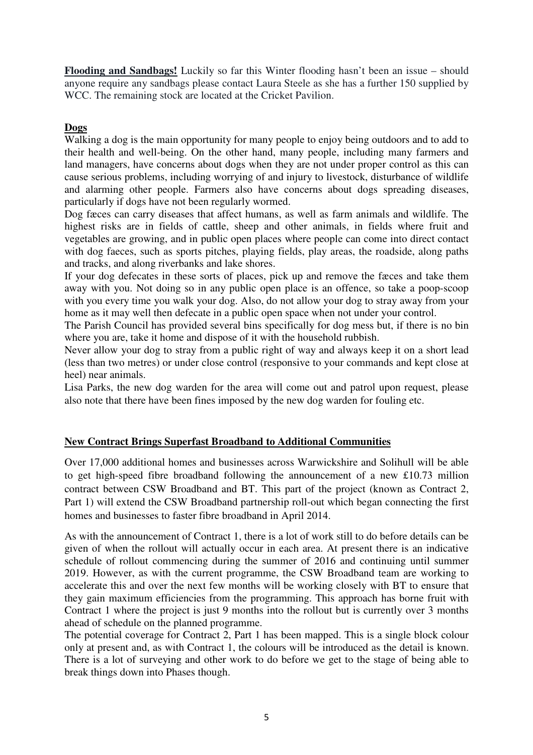**Flooding and Sandbags!** Luckily so far this Winter flooding hasn't been an issue – should anyone require any sandbags please contact Laura Steele as she has a further 150 supplied by WCC. The remaining stock are located at the Cricket Pavilion.

## **Dogs**

Walking a dog is the main opportunity for many people to enjoy being outdoors and to add to their health and well-being. On the other hand, many people, including many farmers and land managers, have concerns about dogs when they are not under proper control as this can cause serious problems, including worrying of and injury to livestock, disturbance of wildlife and alarming other people. Farmers also have concerns about dogs spreading diseases, particularly if dogs have not been regularly wormed.

Dog fæces can carry diseases that affect humans, as well as farm animals and wildlife. The highest risks are in fields of cattle, sheep and other animals, in fields where fruit and vegetables are growing, and in public open places where people can come into direct contact with dog faeces, such as sports pitches, playing fields, play areas, the roadside, along paths and tracks, and along riverbanks and lake shores.

If your dog defecates in these sorts of places, pick up and remove the fæces and take them away with you. Not doing so in any public open place is an offence, so take a poop-scoop with you every time you walk your dog. Also, do not allow your dog to stray away from your home as it may well then defecate in a public open space when not under your control.

The Parish Council has provided several bins specifically for dog mess but, if there is no bin where you are, take it home and dispose of it with the household rubbish.

Never allow your dog to stray from a public right of way and always keep it on a short lead (less than two metres) or under close control (responsive to your commands and kept close at heel) near animals.

Lisa Parks, the new dog warden for the area will come out and patrol upon request, please also note that there have been fines imposed by the new dog warden for fouling etc.

# **New Contract Brings Superfast Broadband to Additional Communities**

Over 17,000 additional homes and businesses across Warwickshire and Solihull will be able to get high-speed fibre broadband following the announcement of a new £10.73 million contract between CSW Broadband and BT. This part of the project (known as Contract 2, Part 1) will extend the CSW Broadband partnership roll-out which began connecting the first homes and businesses to faster fibre broadband in April 2014.

As with the announcement of Contract 1, there is a lot of work still to do before details can be given of when the rollout will actually occur in each area. At present there is an indicative schedule of rollout commencing during the summer of 2016 and continuing until summer 2019. However, as with the current programme, the CSW Broadband team are working to accelerate this and over the next few months will be working closely with BT to ensure that they gain maximum efficiencies from the programming. This approach has borne fruit with Contract 1 where the project is just 9 months into the rollout but is currently over 3 months ahead of schedule on the planned programme.

The potential coverage for Contract 2, Part 1 has been mapped. This is a single block colour only at present and, as with Contract 1, the colours will be introduced as the detail is known. There is a lot of surveying and other work to do before we get to the stage of being able to break things down into Phases though.